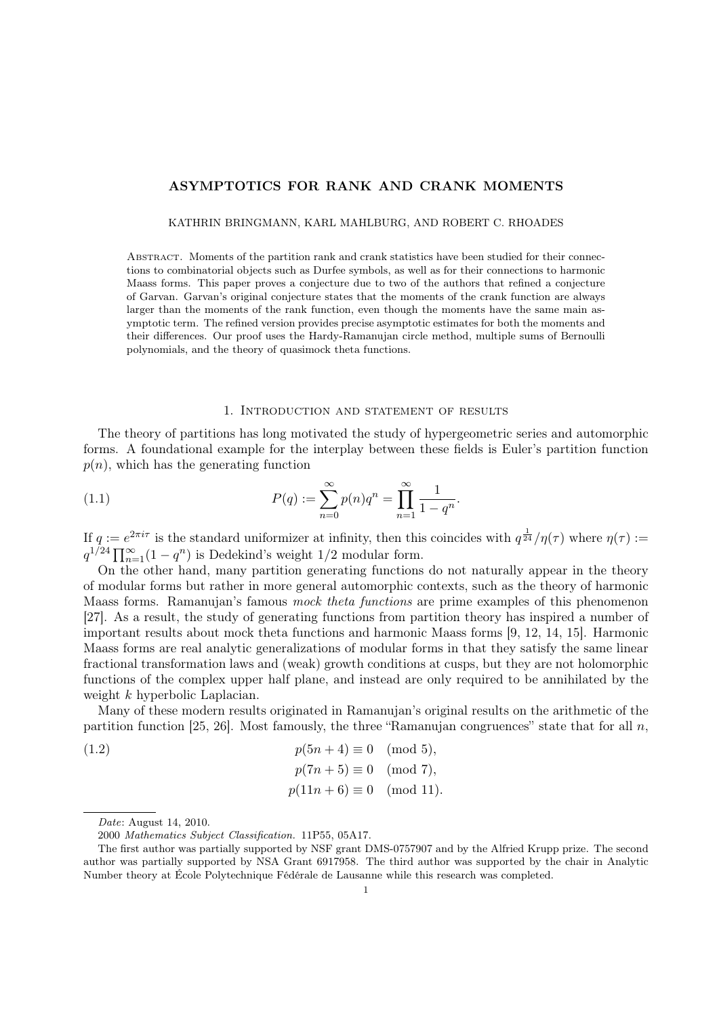# ASYMPTOTICS FOR RANK AND CRANK MOMENTS

#### KATHRIN BRINGMANN, KARL MAHLBURG, AND ROBERT C. RHOADES

Abstract. Moments of the partition rank and crank statistics have been studied for their connections to combinatorial objects such as Durfee symbols, as well as for their connections to harmonic Maass forms. This paper proves a conjecture due to two of the authors that refined a conjecture of Garvan. Garvan's original conjecture states that the moments of the crank function are always larger than the moments of the rank function, even though the moments have the same main asymptotic term. The refined version provides precise asymptotic estimates for both the moments and their differences. Our proof uses the Hardy-Ramanujan circle method, multiple sums of Bernoulli polynomials, and the theory of quasimock theta functions.

## 1. Introduction and statement of results

The theory of partitions has long motivated the study of hypergeometric series and automorphic forms. A foundational example for the interplay between these fields is Euler's partition function  $p(n)$ , which has the generating function

(1.1) 
$$
P(q) := \sum_{n=0}^{\infty} p(n)q^n = \prod_{n=1}^{\infty} \frac{1}{1-q^n}.
$$

If  $q := e^{2\pi i \tau}$  is the standard uniformizer at infinity, then this coincides with  $q^{\frac{1}{24}}/\eta(\tau)$  where  $\eta(\tau) :=$  $q^{1/24} \prod_{n=1}^{\infty} (1 - q^n)$  is Dedekind's weight 1/2 modular form.

On the other hand, many partition generating functions do not naturally appear in the theory of modular forms but rather in more general automorphic contexts, such as the theory of harmonic Maass forms. Ramanujan's famous mock theta functions are prime examples of this phenomenon [27]. As a result, the study of generating functions from partition theory has inspired a number of important results about mock theta functions and harmonic Maass forms [9, 12, 14, 15]. Harmonic Maass forms are real analytic generalizations of modular forms in that they satisfy the same linear fractional transformation laws and (weak) growth conditions at cusps, but they are not holomorphic functions of the complex upper half plane, and instead are only required to be annihilated by the weight k hyperbolic Laplacian.

Many of these modern results originated in Ramanujan's original results on the arithmetic of the partition function [25, 26]. Most famously, the three "Ramanujan congruences" state that for all  $n$ ,

(1.2) 
$$
p(5n + 4) \equiv 0 \pmod{5},
$$
  
\n $p(7n + 5) \equiv 0 \pmod{7},$   
\n $p(11n + 6) \equiv 0 \pmod{11}.$ 

Date: August 14, 2010.

<sup>2000</sup> Mathematics Subject Classification. 11P55, 05A17.

The first author was partially supported by NSF grant DMS-0757907 and by the Alfried Krupp prize. The second author was partially supported by NSA Grant 6917958. The third author was supported by the chair in Analytic Number theory at École Polytechnique Fédérale de Lausanne while this research was completed.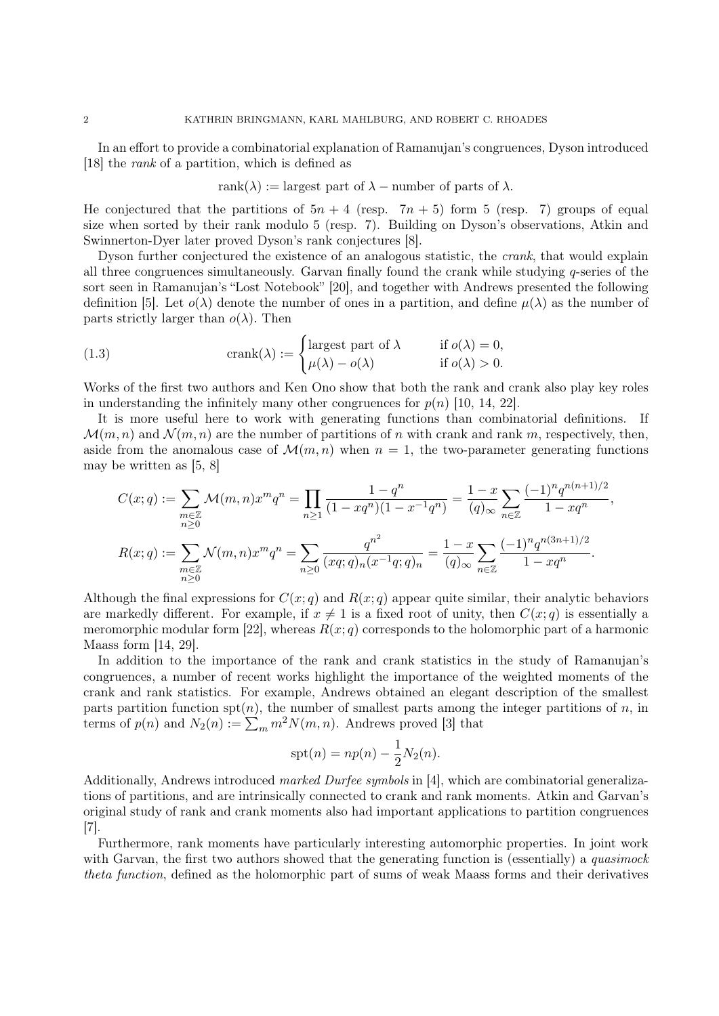In an effort to provide a combinatorial explanation of Ramanujan's congruences, Dyson introduced [18] the rank of a partition, which is defined as

rank(
$$
\lambda
$$
) := largest part of  $\lambda$  – number of parts of  $\lambda$ .

He conjectured that the partitions of  $5n + 4$  (resp.  $7n + 5$ ) form 5 (resp. 7) groups of equal size when sorted by their rank modulo 5 (resp. 7). Building on Dyson's observations, Atkin and Swinnerton-Dyer later proved Dyson's rank conjectures [8].

Dyson further conjectured the existence of an analogous statistic, the crank, that would explain all three congruences simultaneously. Garvan finally found the crank while studying q-series of the sort seen in Ramanujan's "Lost Notebook" [20], and together with Andrews presented the following definition [5]. Let  $o(\lambda)$  denote the number of ones in a partition, and define  $\mu(\lambda)$  as the number of parts strictly larger than  $o(\lambda)$ . Then

(1.3) 
$$
\operatorname{crank}(\lambda) := \begin{cases} \text{largest part of } \lambda & \text{if } o(\lambda) = 0, \\ \mu(\lambda) - o(\lambda) & \text{if } o(\lambda) > 0. \end{cases}
$$

Works of the first two authors and Ken Ono show that both the rank and crank also play key roles in understanding the infinitely many other congruences for  $p(n)$  [10, 14, 22].

It is more useful here to work with generating functions than combinatorial definitions. If  $\mathcal{M}(m, n)$  and  $\mathcal{N}(m, n)$  are the number of partitions of n with crank and rank m, respectively, then, aside from the anomalous case of  $\mathcal{M}(m, n)$  when  $n = 1$ , the two-parameter generating functions may be written as [5, 8]

$$
C(x;q) := \sum_{\substack{m \in \mathbb{Z} \\ n \ge 0}} \mathcal{M}(m,n)x^m q^n = \prod_{n \ge 1} \frac{1 - q^n}{(1 - xq^n)(1 - x^{-1}q^n)} = \frac{1 - x}{(q)_{\infty}} \sum_{n \in \mathbb{Z}} \frac{(-1)^n q^{n(n+1)/2}}{1 - xq^n},
$$
  

$$
R(x;q) := \sum_{\substack{m \in \mathbb{Z} \\ n \ge 0}} \mathcal{N}(m,n)x^m q^n = \sum_{n \ge 0} \frac{q^{n^2}}{(xq;q)_n(x^{-1}q;q)_n} = \frac{1 - x}{(q)_{\infty}} \sum_{n \in \mathbb{Z}} \frac{(-1)^n q^{n(3n+1)/2}}{1 - xq^n}.
$$

Although the final expressions for  $C(x; q)$  and  $R(x; q)$  appear quite similar, their analytic behaviors are markedly different. For example, if  $x \neq 1$  is a fixed root of unity, then  $C(x; q)$  is essentially a meromorphic modular form [22], whereas  $R(x; q)$  corresponds to the holomorphic part of a harmonic Maass form [14, 29].

In addition to the importance of the rank and crank statistics in the study of Ramanujan's congruences, a number of recent works highlight the importance of the weighted moments of the crank and rank statistics. For example, Andrews obtained an elegant description of the smallest parts partition function  $\text{spt}(n)$ , the number of smallest parts among the integer partitions of n, in terms of  $p(n)$  and  $N_2(n) := \sum_m m^2 N(m, n)$ . Andrews proved [3] that

$$
spt(n) = np(n) - \frac{1}{2}N_2(n).
$$

Additionally, Andrews introduced marked Durfee symbols in [4], which are combinatorial generalizations of partitions, and are intrinsically connected to crank and rank moments. Atkin and Garvan's original study of rank and crank moments also had important applications to partition congruences [7].

Furthermore, rank moments have particularly interesting automorphic properties. In joint work with Garvan, the first two authors showed that the generating function is (essentially) a *quasimock* theta function, defined as the holomorphic part of sums of weak Maass forms and their derivatives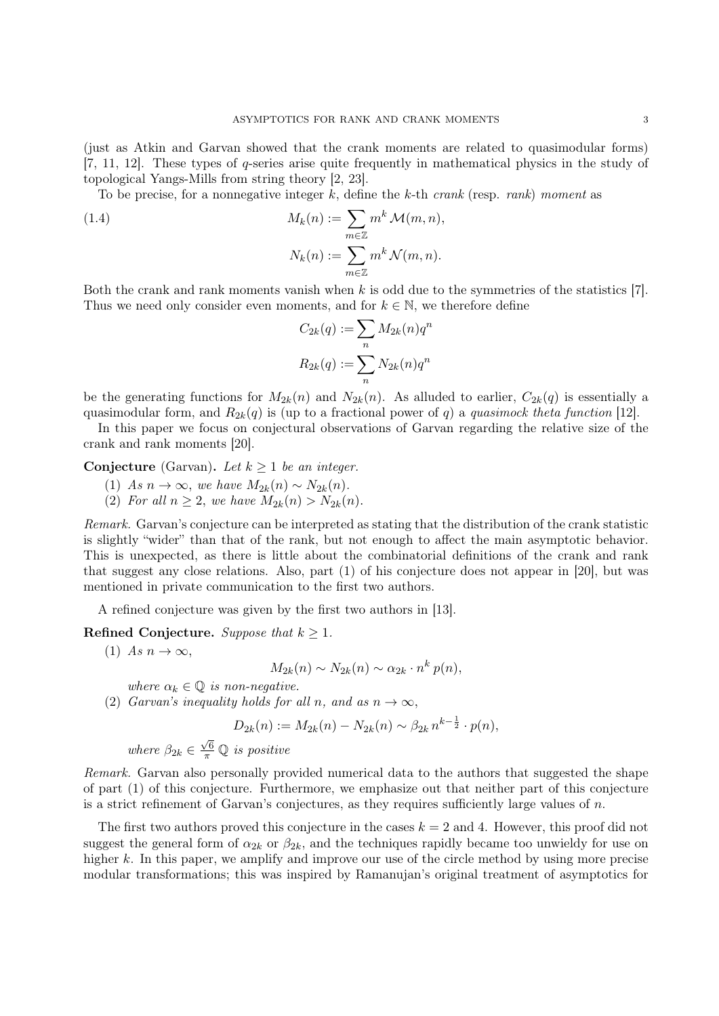(just as Atkin and Garvan showed that the crank moments are related to quasimodular forms) [7, 11, 12]. These types of q-series arise quite frequently in mathematical physics in the study of topological Yangs-Mills from string theory [2, 23].

To be precise, for a nonnegative integer k, define the k-th crank (resp. rank) moment as

(1.4) 
$$
M_k(n) := \sum_{m \in \mathbb{Z}} m^k \mathcal{M}(m, n),
$$

$$
N_k(n) := \sum_{m \in \mathbb{Z}} m^k \mathcal{N}(m, n).
$$

Both the crank and rank moments vanish when k is odd due to the symmetries of the statistics [7]. Thus we need only consider even moments, and for  $k \in \mathbb{N}$ , we therefore define

$$
C_{2k}(q) := \sum_n M_{2k}(n)q^n
$$
  

$$
R_{2k}(q) := \sum_n N_{2k}(n)q^n
$$

be the generating functions for  $M_{2k}(n)$  and  $N_{2k}(n)$ . As alluded to earlier,  $C_{2k}(q)$  is essentially a quasimodular form, and  $R_{2k}(q)$  is (up to a fractional power of q) a quasimock theta function [12].

In this paper we focus on conjectural observations of Garvan regarding the relative size of the crank and rank moments [20].

Conjecture (Garvan). Let  $k \geq 1$  be an integer.

- (1) As  $n \to \infty$ , we have  $M_{2k}(n) \sim N_{2k}(n)$ .
- (2) For all  $n \geq 2$ , we have  $M_{2k}(n) > N_{2k}(n)$ .

Remark. Garvan's conjecture can be interpreted as stating that the distribution of the crank statistic is slightly "wider" than that of the rank, but not enough to affect the main asymptotic behavior. This is unexpected, as there is little about the combinatorial definitions of the crank and rank that suggest any close relations. Also, part (1) of his conjecture does not appear in [20], but was mentioned in private communication to the first two authors.

A refined conjecture was given by the first two authors in [13].

Refined Conjecture. Suppose that  $k \geq 1$ .

(1) As  $n \to \infty$ ,

$$
M_{2k}(n) \sim N_{2k}(n) \sim \alpha_{2k} \cdot n^k p(n),
$$

where  $\alpha_k \in \mathbb{Q}$  is non-negative.

(2) Garvan's inequality holds for all n, and as  $n \to \infty$ ,

$$
D_{2k}(n) := M_{2k}(n) - N_{2k}(n) \sim \beta_{2k} n^{k - \frac{1}{2}} \cdot p(n),
$$

where  $\beta_{2k} \in$  $\frac{\sqrt{6}}{\pi}$  Q is positive

Remark. Garvan also personally provided numerical data to the authors that suggested the shape of part (1) of this conjecture. Furthermore, we emphasize out that neither part of this conjecture is a strict refinement of Garvan's conjectures, as they requires sufficiently large values of  $n$ .

The first two authors proved this conjecture in the cases  $k = 2$  and 4. However, this proof did not suggest the general form of  $\alpha_{2k}$  or  $\beta_{2k}$ , and the techniques rapidly became too unwieldy for use on higher k. In this paper, we amplify and improve our use of the circle method by using more precise modular transformations; this was inspired by Ramanujan's original treatment of asymptotics for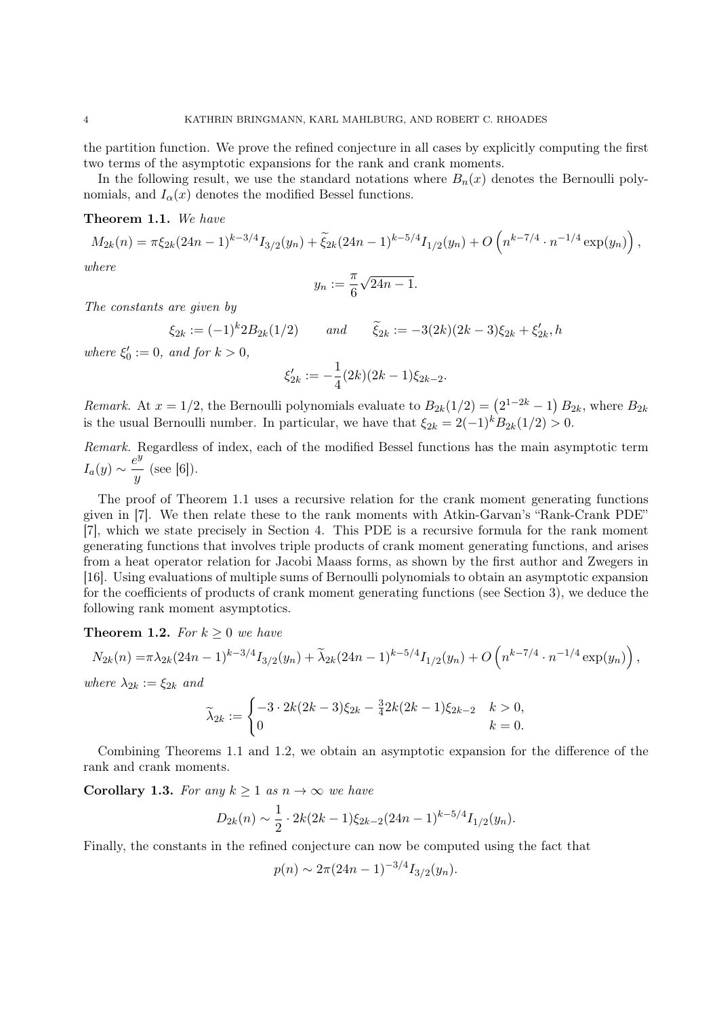the partition function. We prove the refined conjecture in all cases by explicitly computing the first two terms of the asymptotic expansions for the rank and crank moments.

In the following result, we use the standard notations where  $B_n(x)$  denotes the Bernoulli polynomials, and  $I_{\alpha}(x)$  denotes the modified Bessel functions.

# Theorem 1.1. We have

$$
M_{2k}(n) = \pi \xi_{2k} (24n-1)^{k-3/4} I_{3/2}(y_n) + \tilde{\xi}_{2k} (24n-1)^{k-5/4} I_{1/2}(y_n) + O\left(n^{k-7/4} \cdot n^{-1/4} \exp(y_n)\right),
$$
  
where

where

$$
y_n := \frac{\pi}{6}\sqrt{24n-1}.
$$

The constants are given by

$$
\xi_{2k} := (-1)^k 2B_{2k}(1/2) \qquad and \qquad \widetilde{\xi}_{2k} := -3(2k)(2k-3)\xi_{2k} + \xi'_{2k}, h
$$
  
where  $\xi'_0 := 0$ , and for  $k > 0$ ,  

$$
\xi'_{2k} := -\frac{1}{4}(2k)(2k-1)\xi_{2k-2}.
$$

Remark. At  $x = 1/2$ , the Bernoulli polynomials evaluate to  $B_{2k}(1/2) = (2^{1-2k} - 1) B_{2k}$ , where  $B_{2k}$ is the usual Bernoulli number. In particular, we have that  $\xi_{2k} = 2(-1)^k B_{2k}(1/2) > 0$ .

Remark. Regardless of index, each of the modified Bessel functions has the main asymptotic term  $I_a(y) \sim \frac{e^y}{y}$  $\frac{y}{y}$  (see [6]).

The proof of Theorem 1.1 uses a recursive relation for the crank moment generating functions given in [7]. We then relate these to the rank moments with Atkin-Garvan's "Rank-Crank PDE" [7], which we state precisely in Section 4. This PDE is a recursive formula for the rank moment generating functions that involves triple products of crank moment generating functions, and arises from a heat operator relation for Jacobi Maass forms, as shown by the first author and Zwegers in [16]. Using evaluations of multiple sums of Bernoulli polynomials to obtain an asymptotic expansion for the coefficients of products of crank moment generating functions (see Section 3), we deduce the following rank moment asymptotics.

**Theorem 1.2.** For  $k \geq 0$  we have

$$
N_{2k}(n) = \pi \lambda_{2k} (24n - 1)^{k - 3/4} I_{3/2}(y_n) + \widetilde{\lambda}_{2k} (24n - 1)^{k - 5/4} I_{1/2}(y_n) + O\left(n^{k - 7/4} \cdot n^{-1/4} \exp(y_n)\right),
$$

where  $\lambda_{2k} := \xi_{2k}$  and

$$
\widetilde{\lambda}_{2k} := \begin{cases}\n-3 \cdot 2k(2k-3)\xi_{2k} - \frac{3}{4}2k(2k-1)\xi_{2k-2} & k > 0, \\
0 & k = 0.\n\end{cases}
$$

Combining Theorems 1.1 and 1.2, we obtain an asymptotic expansion for the difference of the rank and crank moments.

Corollary 1.3. For any  $k \geq 1$  as  $n \to \infty$  we have

$$
D_{2k}(n) \sim \frac{1}{2} \cdot 2k(2k-1)\xi_{2k-2}(24n-1)^{k-5/4}I_{1/2}(y_n).
$$

Finally, the constants in the refined conjecture can now be computed using the fact that

$$
p(n) \sim 2\pi (24n - 1)^{-3/4} I_{3/2}(y_n).
$$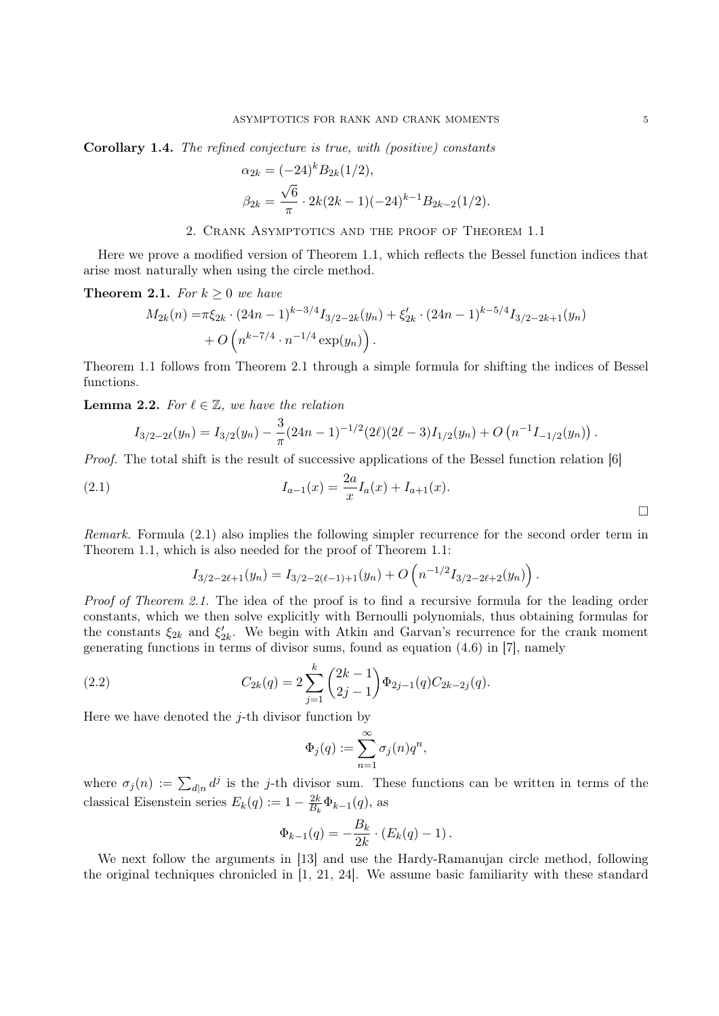Corollary 1.4. The refined conjecture is true, with (positive) constants

$$
\alpha_{2k} = (-24)^k B_{2k} (1/2),
$$
  

$$
\beta_{2k} = \frac{\sqrt{6}}{\pi} \cdot 2k(2k-1)(-24)^{k-1} B_{2k-2} (1/2).
$$

2. Crank Asymptotics and the proof of Theorem 1.1

Here we prove a modified version of Theorem 1.1, which reflects the Bessel function indices that arise most naturally when using the circle method.

**Theorem 2.1.** For  $k \geq 0$  we have

$$
M_{2k}(n) = \pi \xi_{2k} \cdot (24n - 1)^{k-3/4} I_{3/2-2k}(y_n) + \xi'_{2k} \cdot (24n - 1)^{k-5/4} I_{3/2-2k+1}(y_n) + O\left(n^{k-7/4} \cdot n^{-1/4} \exp(y_n)\right).
$$

Theorem 1.1 follows from Theorem 2.1 through a simple formula for shifting the indices of Bessel functions.

**Lemma 2.2.** For  $\ell \in \mathbb{Z}$ , we have the relation

$$
I_{3/2-2\ell}(y_n) = I_{3/2}(y_n) - \frac{3}{\pi} (24n-1)^{-1/2} (2\ell)(2\ell-3) I_{1/2}(y_n) + O\left(n^{-1} I_{-1/2}(y_n)\right).
$$

Proof. The total shift is the result of successive applications of the Bessel function relation [6]

(2.1) 
$$
I_{a-1}(x) = \frac{2a}{x} I_a(x) + I_{a+1}(x).
$$

Remark. Formula (2.1) also implies the following simpler recurrence for the second order term in Theorem 1.1, which is also needed for the proof of Theorem 1.1:

$$
I_{3/2-2\ell+1}(y_n) = I_{3/2-2(\ell-1)+1}(y_n) + O\left(n^{-1/2}I_{3/2-2\ell+2}(y_n)\right).
$$

Proof of Theorem 2.1. The idea of the proof is to find a recursive formula for the leading order constants, which we then solve explicitly with Bernoulli polynomials, thus obtaining formulas for the constants  $\xi_{2k}$  and  $\xi'_{2k}$ . We begin with Atkin and Garvan's recurrence for the crank moment generating functions in terms of divisor sums, found as equation (4.6) in [7], namely

(2.2) 
$$
C_{2k}(q) = 2\sum_{j=1}^{k} {2k-1 \choose 2j-1} \Phi_{2j-1}(q) C_{2k-2j}(q).
$$

Here we have denoted the  $i$ -th divisor function by

$$
\Phi_j(q) := \sum_{n=1}^{\infty} \sigma_j(n) q^n,
$$

where  $\sigma_j(n) := \sum_{d|n} d^j$  is the j-th divisor sum. These functions can be written in terms of the classical Eisenstein series  $E_k(q) := 1 - \frac{2k}{B_k}$  $\frac{2k}{B_k}\Phi_{k-1}(q)$ , as

$$
\Phi_{k-1}(q) = -\frac{B_k}{2k} \cdot (E_k(q) - 1).
$$

We next follow the arguments in [13] and use the Hardy-Ramanujan circle method, following the original techniques chronicled in [1, 21, 24]. We assume basic familiarity with these standard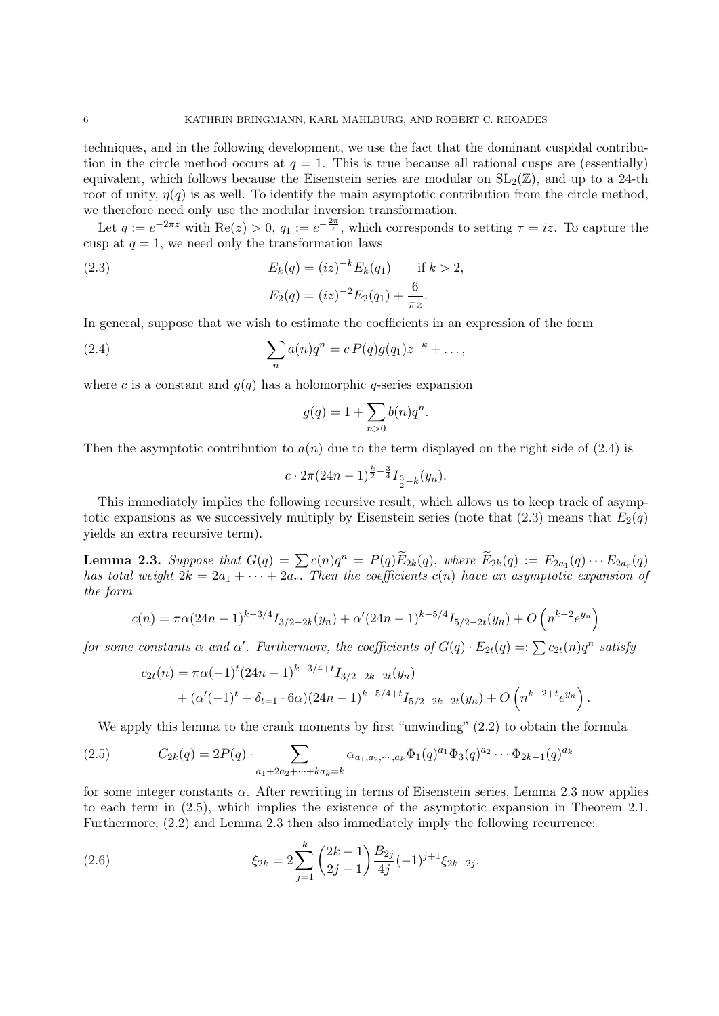techniques, and in the following development, we use the fact that the dominant cuspidal contribution in the circle method occurs at  $q = 1$ . This is true because all rational cusps are (essentially) equivalent, which follows because the Eisenstein series are modular on  $SL_2(\mathbb{Z})$ , and up to a 24-th root of unity,  $\eta(q)$  is as well. To identify the main asymptotic contribution from the circle method, we therefore need only use the modular inversion transformation.

Let  $q := e^{-2\pi z}$  with  $\text{Re}(z) > 0$ ,  $q_1 := e^{-\frac{2\pi}{z}}$ , which corresponds to setting  $\tau = iz$ . To capture the cusp at  $q = 1$ , we need only the transformation laws

(2.3) 
$$
E_k(q) = (iz)^{-k} E_k(q_1) \quad \text{if } k > 2,
$$

$$
E_2(q) = (iz)^{-2} E_2(q_1) + \frac{6}{\pi z}.
$$

In general, suppose that we wish to estimate the coefficients in an expression of the form

(2.4) 
$$
\sum_{n} a(n)q^{n} = c P(q)g(q_{1})z^{-k} + ...,
$$

where c is a constant and  $q(q)$  has a holomorphic q-series expansion

$$
g(q) = 1 + \sum_{n>0} b(n)q^n.
$$

Then the asymptotic contribution to  $a(n)$  due to the term displayed on the right side of (2.4) is

$$
c \cdot 2\pi (24n-1)^{\frac{k}{2}-\frac{3}{4}} I_{\frac{3}{2}-k}(y_n).
$$

This immediately implies the following recursive result, which allows us to keep track of asymptotic expansions as we successively multiply by Eisenstein series (note that  $(2.3)$  means that  $E_2(q)$ ) yields an extra recursive term).

**Lemma 2.3.** Suppose that  $G(q) = \sum_{m} c(n)q^n = P(q)\tilde{E}_{2k}(q)$ , where  $\tilde{E}_{2k}(q) := E_{2a_1}(q) \cdots E_{2a_r}(q)$ has total weight  $2k = 2a_1 + \cdots + 2a_r$ . Then the coefficients  $c(n)$  have an asymptotic expansion of the form

$$
c(n) = \pi \alpha (24n - 1)^{k - 3/4} I_{3/2 - 2k}(y_n) + \alpha' (24n - 1)^{k - 5/4} I_{5/2 - 2t}(y_n) + O\left(n^{k - 2} e^{y_n}\right)
$$

for some constants  $\alpha$  and  $\alpha'$ . Furthermore, the coefficients of  $G(q) \cdot E_{2t}(q) =: \sum c_{2t}(n)q^n$  satisfy

$$
c_{2t}(n) = \pi \alpha (-1)^{t} (24n - 1)^{k-3/4+t} I_{3/2-2k-2t}(y_n)
$$
  
+ 
$$
(\alpha'(-1)^{t} + \delta_{t=1} \cdot 6\alpha)(24n - 1)^{k-5/4+t} I_{5/2-2k-2t}(y_n) + O\left(n^{k-2+t}e^{y_n}\right).
$$

We apply this lemma to the crank moments by first "unwinding"  $(2.2)$  to obtain the formula

(2.5) 
$$
C_{2k}(q) = 2P(q) \cdot \sum_{a_1 + 2a_2 + \dots + ka_k = k} \alpha_{a_1, a_2, \dots, a_k} \Phi_1(q)^{a_1} \Phi_3(q)^{a_2} \cdots \Phi_{2k-1}(q)^{a_k}
$$

for some integer constants  $\alpha$ . After rewriting in terms of Eisenstein series, Lemma 2.3 now applies to each term in (2.5), which implies the existence of the asymptotic expansion in Theorem 2.1. Furthermore, (2.2) and Lemma 2.3 then also immediately imply the following recurrence:

(2.6) 
$$
\xi_{2k} = 2 \sum_{j=1}^{k} {2k - 1 \choose 2j - 1} \frac{B_{2j}}{4j} (-1)^{j+1} \xi_{2k-2j}.
$$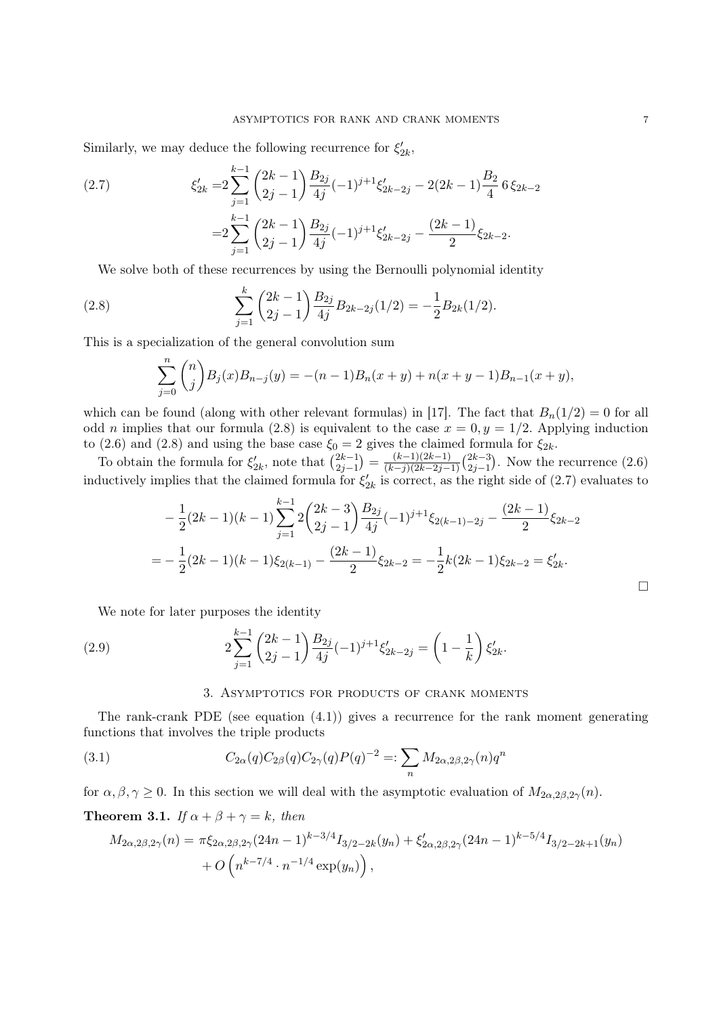Similarly, we may deduce the following recurrence for  $\xi'_{2k}$ ,

(2.7) 
$$
\xi'_{2k} = 2 \sum_{j=1}^{k-1} {2k-1 \choose 2j-1} \frac{B_{2j}}{4j} (-1)^{j+1} \xi'_{2k-2j} - 2(2k-1) \frac{B_2}{4} 6 \xi_{2k-2}
$$

$$
= 2 \sum_{j=1}^{k-1} {2k-1 \choose 2j-1} \frac{B_{2j}}{4j} (-1)^{j+1} \xi'_{2k-2j} - \frac{(2k-1)}{2} \xi_{2k-2}.
$$

We solve both of these recurrences by using the Bernoulli polynomial identity

(2.8) 
$$
\sum_{j=1}^{k} {2k-1 \choose 2j-1} \frac{B_{2j}}{4j} B_{2k-2j}(1/2) = -\frac{1}{2} B_{2k}(1/2).
$$

This is a specialization of the general convolution sum

$$
\sum_{j=0}^{n} {n \choose j} B_j(x) B_{n-j}(y) = -(n-1)B_n(x+y) + n(x+y-1)B_{n-1}(x+y),
$$

which can be found (along with other relevant formulas) in [17]. The fact that  $B_n(1/2) = 0$  for all odd *n* implies that our formula (2.8) is equivalent to the case  $x = 0, y = 1/2$ . Applying induction to (2.6) and (2.8) and using the base case  $\xi_0 = 2$  gives the claimed formula for  $\xi_{2k}$ .

To obtain the formula for  $\xi'_{2k}$ , note that  $\binom{2k-1}{2j-1}$  $\binom{2k-1}{2j-1} = \frac{(k-1)(2k-1)}{(k-j)(2k-2j-1)}$  $\frac{(k-1)(2k-1)}{(k-j)(2k-2j-1)}\binom{2k-3}{2j-1}$  $\frac{2k-3}{2j-1}$ . Now the recurrence  $(2.6)$ inductively implies that the claimed formula for  $\xi'_{2k}$  is correct, as the right side of (2.7) evaluates to

$$
-\frac{1}{2}(2k-1)(k-1)\sum_{j=1}^{k-1}2\binom{2k-3}{2j-1}\frac{B_{2j}}{4j}(-1)^{j+1}\xi_{2(k-1)-2j}-\frac{(2k-1)}{2}\xi_{2k-2}
$$
  
=
$$
-\frac{1}{2}(2k-1)(k-1)\xi_{2(k-1)}-\frac{(2k-1)}{2}\xi_{2k-2}=-\frac{1}{2}k(2k-1)\xi_{2k-2}=\xi'_{2k}.
$$

We note for later purposes the identity

(2.9) 
$$
2\sum_{j=1}^{k-1} {2k-1 \choose 2j-1} \frac{B_{2j}}{4j}(-1)^{j+1}\xi'_{2k-2j} = \left(1 - \frac{1}{k}\right)\xi'_{2k}.
$$

### 3. Asymptotics for products of crank moments

The rank-crank PDE (see equation (4.1)) gives a recurrence for the rank moment generating functions that involves the triple products

(3.1) 
$$
C_{2\alpha}(q)C_{2\beta}(q)C_{2\gamma}(q)P(q)^{-2} =: \sum_{n} M_{2\alpha,2\beta,2\gamma}(n)q^{n}
$$

for  $\alpha, \beta, \gamma \geq 0$ . In this section we will deal with the asymptotic evaluation of  $M_{2\alpha, 2\beta, 2\gamma}(n)$ .

**Theorem 3.1.** If  $\alpha + \beta + \gamma = k$ , then

$$
M_{2\alpha,2\beta,2\gamma}(n) = \pi \xi_{2\alpha,2\beta,2\gamma}(24n-1)^{k-3/4} I_{3/2-2k}(y_n) + \xi'_{2\alpha,2\beta,2\gamma}(24n-1)^{k-5/4} I_{3/2-2k+1}(y_n) + O\left(n^{k-7/4} \cdot n^{-1/4} \exp(y_n)\right),
$$

 $\Box$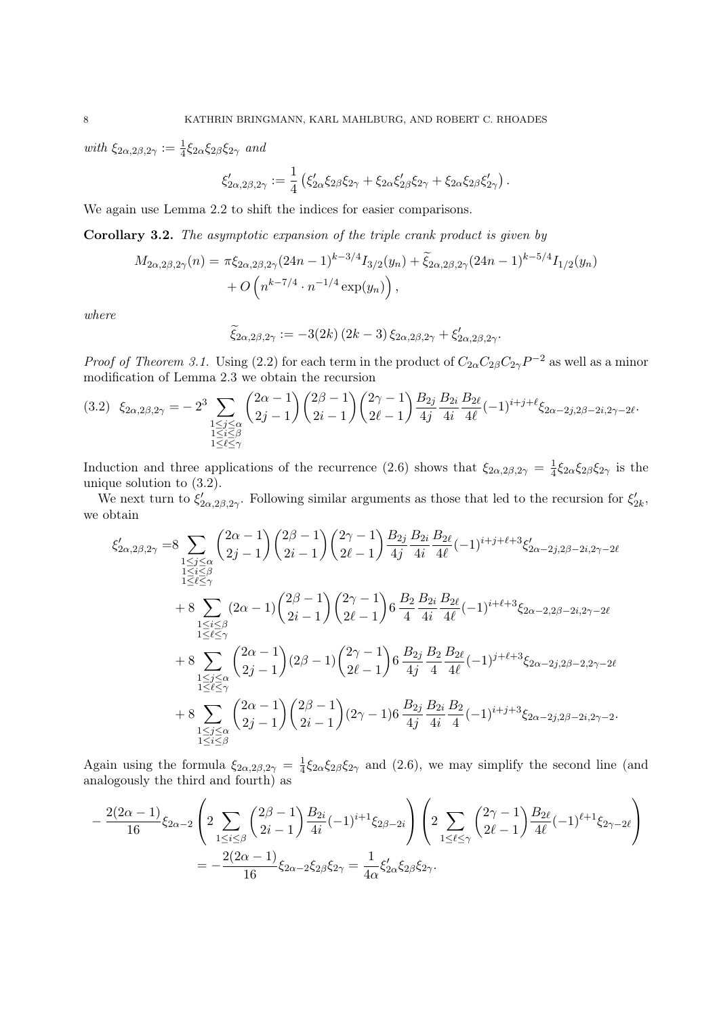with  $\xi_{2\alpha,2\beta,2\gamma} := \frac{1}{4} \xi_{2\alpha} \xi_{2\beta} \xi_{2\gamma}$  and

$$
\xi'_{2\alpha,2\beta,2\gamma} := \frac{1}{4} \left( \xi'_{2\alpha} \xi_{2\beta} \xi_{2\gamma} + \xi_{2\alpha} \xi'_{2\beta} \xi_{2\gamma} + \xi_{2\alpha} \xi_{2\beta} \xi'_{2\gamma} \right).
$$

We again use Lemma 2.2 to shift the indices for easier comparisons.

Corollary 3.2. The asymptotic expansion of the triple crank product is given by

$$
M_{2\alpha,2\beta,2\gamma}(n) = \pi \xi_{2\alpha,2\beta,2\gamma}(24n-1)^{k-3/4} I_{3/2}(y_n) + \widetilde{\xi}_{2\alpha,2\beta,2\gamma}(24n-1)^{k-5/4} I_{1/2}(y_n) + O\left(n^{k-7/4} \cdot n^{-1/4} \exp(y_n)\right),
$$

where

$$
\widetilde{\xi}_{2\alpha,2\beta,2\gamma} := -3(2k)(2k-3)\xi_{2\alpha,2\beta,2\gamma} + \xi'_{2\alpha,2\beta,2\gamma}.
$$

*Proof of Theorem 3.1.* Using (2.2) for each term in the product of  $C_{2\alpha}C_{2\beta}C_{2\gamma}P^{-2}$  as well as a minor modification of Lemma 2.3 we obtain the recursion

$$
(3.2) \quad \xi_{2\alpha,2\beta,2\gamma} = -2^3 \sum_{\substack{1 \le j \le \alpha \\ 1 \le i \le \beta \\ 1 \le \ell \le \gamma}} \binom{2\alpha - 1}{2j - 1} \binom{2\beta - 1}{2i - 1} \binom{2\gamma - 1}{2\ell - 1} \frac{B_{2j}}{4j} \frac{B_{2i}}{4i} \frac{B_{2\ell}}{4\ell} (-1)^{i+j+\ell} \xi_{2\alpha - 2j,2\beta - 2i,2\gamma - 2\ell}.
$$

Induction and three applications of the recurrence (2.6) shows that  $\xi_{2\alpha,2\beta,2\gamma}=\frac{1}{4}$  $\frac{1}{4}\xi_{2\alpha}\xi_{2\beta}\xi_{2\gamma}$  is the unique solution to (3.2).

We next turn to  $\xi'_{2\alpha,2\beta,2\gamma}$ . Following similar arguments as those that led to the recursion for  $\xi'_{2k}$ , we obtain

$$
\xi'_{2\alpha,2\beta,2\gamma} = 8 \sum_{\substack{1 \leq j \leq \alpha \\ 1 \leq \ell \leq \gamma}} \binom{2\alpha-1}{2j-1} \binom{2\beta-1}{2i-1} \binom{2\gamma-1}{2\ell-1} \frac{B_{2j}}{4j} \frac{B_{2i}}{4i} \frac{B_{2\ell}}{4\ell} (-1)^{i+j+\ell+3} \xi'_{2\alpha-2j,2\beta-2i,2\gamma-2\ell} \n+ 8 \sum_{\substack{1 \leq i \leq \beta \\ 1 \leq \ell \leq \gamma}} (2\alpha-1) \binom{2\beta-1}{2i-1} \binom{2\gamma-1}{2\ell-1} 6 \frac{B_2}{4} \frac{B_{2i}}{4i} \frac{B_{2\ell}}{4\ell} (-1)^{i+\ell+3} \xi_{2\alpha-2,2\beta-2i,2\gamma-2\ell} \n+ 8 \sum_{\substack{1 \leq j \leq \alpha \\ 1 \leq \ell \leq \gamma}} \binom{2\alpha-1}{2j-1} (2\beta-1) \binom{2\gamma-1}{2\ell-1} 6 \frac{B_{2j}}{4j} \frac{B_2}{4} \frac{B_{2\ell}}{4\ell} (-1)^{j+\ell+3} \xi_{2\alpha-2j,2\beta-2,2\gamma-2\ell} \n+ 8 \sum_{\substack{1 \leq j \leq \alpha \\ 1 \leq i \leq \beta}} \binom{2\alpha-1}{2j-1} \binom{2\beta-1}{2i-1} (2\gamma-1) 6 \frac{B_{2j}}{4j} \frac{B_{2i}}{4i} \frac{B_2}{4} (-1)^{i+j+3} \xi_{2\alpha-2j,2\beta-2i,2\gamma-2}.
$$

Again using the formula  $\xi_{2\alpha,2\beta,2\gamma}=\frac{1}{4}$  $\frac{1}{4}\xi_2\alpha\xi_2\beta\xi_2$  and (2.6), we may simplify the second line (and analogously the third and fourth) as

$$
-\frac{2(2\alpha-1)}{16}\xi_{2\alpha-2}\left(2\sum_{1\leq i\leq \beta}\binom{2\beta-1}{2i-1}\frac{B_{2i}}{4i}(-1)^{i+1}\xi_{2\beta-2i}\right)\left(2\sum_{1\leq \ell\leq \gamma}\binom{2\gamma-1}{2\ell-1}\frac{B_{2\ell}}{4\ell}(-1)^{\ell+1}\xi_{2\gamma-2\ell}\right)\\ = -\frac{2(2\alpha-1)}{16}\xi_{2\alpha-2}\xi_{2\beta}\xi_{2\gamma} = \frac{1}{4\alpha}\xi'_{2\alpha}\xi_{2\beta}\xi_{2\gamma}.
$$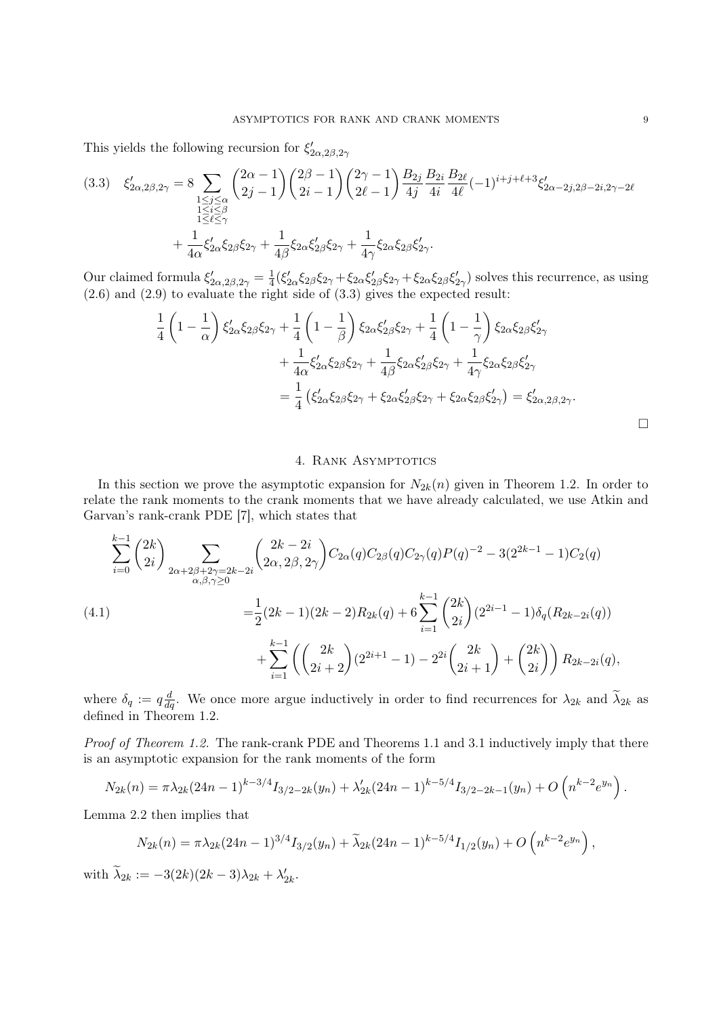This yields the following recursion for  $\xi'_{2\alpha,2\beta,2\gamma}$ 

$$
(3.3) \quad \xi'_{2\alpha,2\beta,2\gamma} = 8 \sum_{\substack{1 \le j \le \alpha \\ 1 \le i \le \beta \\ 1 \le \ell \le \gamma}} \binom{2\alpha - 1}{2j - 1} \binom{2\beta - 1}{2i - 1} \binom{2\gamma - 1}{2\ell - 1} \frac{B_{2j}}{4j} \frac{B_{2i}}{4i} \frac{B_{2\ell}}{4\ell} (-1)^{i + j + \ell + 3} \xi'_{2\alpha - 2j,2\beta - 2i,2\gamma - 2\ell}
$$

$$
+ \frac{1}{4\alpha} \xi'_{2\alpha} \xi_{2\beta} \xi_{2\gamma} + \frac{1}{4\beta} \xi_{2\alpha} \xi'_{2\beta} \xi_{2\gamma} + \frac{1}{4\gamma} \xi_{2\alpha} \xi_{2\beta} \xi'_{2\gamma}.
$$

Our claimed formula  $\xi'_{2\alpha,2\beta,2\gamma}=\frac{1}{4}$  $\frac{1}{4}(\xi'_{2\alpha}\xi_{2\beta}\xi_{2\gamma}+\xi_{2\alpha}\xi'_{2\beta}\xi_{2\gamma}+\xi_{2\alpha}\xi_{2\beta}\xi'_{2\gamma})$  solves this recurrence, as using (2.6) and (2.9) to evaluate the right side of (3.3) gives the expected result:

$$
\frac{1}{4}\left(1-\frac{1}{\alpha}\right)\xi'_{2\alpha}\xi_{2\beta}\xi_{2\gamma} + \frac{1}{4}\left(1-\frac{1}{\beta}\right)\xi_{2\alpha}\xi'_{2\beta}\xi_{2\gamma} + \frac{1}{4}\left(1-\frac{1}{\gamma}\right)\xi_{2\alpha}\xi_{2\beta}\xi'_{2\gamma} \n+ \frac{1}{4\alpha}\xi'_{2\alpha}\xi_{2\beta}\xi_{2\gamma} + \frac{1}{4\beta}\xi_{2\alpha}\xi'_{2\beta}\xi_{2\gamma} + \frac{1}{4\gamma}\xi_{2\alpha}\xi_{2\beta}\xi'_{2\gamma} \n= \frac{1}{4}\left(\xi'_{2\alpha}\xi_{2\beta}\xi_{2\gamma} + \xi_{2\alpha}\xi'_{2\beta}\xi_{2\gamma} + \xi_{2\alpha}\xi_{2\beta}\xi'_{2\gamma}\right) = \xi'_{2\alpha,2\beta,2\gamma}.
$$

# 4. Rank Asymptotics

In this section we prove the asymptotic expansion for  $N_{2k}(n)$  given in Theorem 1.2. In order to relate the rank moments to the crank moments that we have already calculated, we use Atkin and Garvan's rank-crank PDE [7], which states that

$$
\sum_{i=0}^{k-1} {2k \choose 2i} \sum_{\substack{2\alpha+2\beta+2\gamma=2k-2i \ \alpha,\beta,\gamma\geq 0}} {2k-2i \choose 2\alpha,2\beta,2\gamma} C_{2\alpha}(q) C_{2\beta}(q) C_{2\gamma}(q) P(q)^{-2} - 3(2^{2k-1}-1) C_2(q)
$$
\n
$$
= \frac{1}{2}(2k-1)(2k-2)R_{2k}(q) + 6\sum_{i=1}^{k-1} {2k \choose 2i} (2^{2i-1}-1)\delta_q(R_{2k-2i}(q)) + \sum_{i=1}^{k-1} \left({2k \choose 2i+2} (2^{2i+1}-1) - 2^{2i} {2k \choose 2i+1} + {2k \choose 2i} \right) R_{2k-2i}(q),
$$

where  $\delta_q := q \frac{d}{dq}$ . We once more argue inductively in order to find recurrences for  $\lambda_{2k}$  and  $\tilde{\lambda}_{2k}$  as defined in Theorem 1.2.

Proof of Theorem 1.2. The rank-crank PDE and Theorems 1.1 and 3.1 inductively imply that there is an asymptotic expansion for the rank moments of the form

$$
N_{2k}(n) = \pi \lambda_{2k} (24n-1)^{k-3/4} I_{3/2-2k}(y_n) + \lambda'_{2k} (24n-1)^{k-5/4} I_{3/2-2k-1}(y_n) + O\left(n^{k-2}e^{y_n}\right).
$$

Lemma 2.2 then implies that

k−1

$$
N_{2k}(n) = \pi \lambda_{2k} (24n-1)^{3/4} I_{3/2}(y_n) + \widetilde{\lambda}_{2k} (24n-1)^{k-5/4} I_{1/2}(y_n) + O\left(n^{k-2} e^{y_n}\right),
$$

with  $\widetilde{\lambda}_{2k} := -3(2k)(2k-3)\lambda_{2k} + \lambda'_{2k}$ .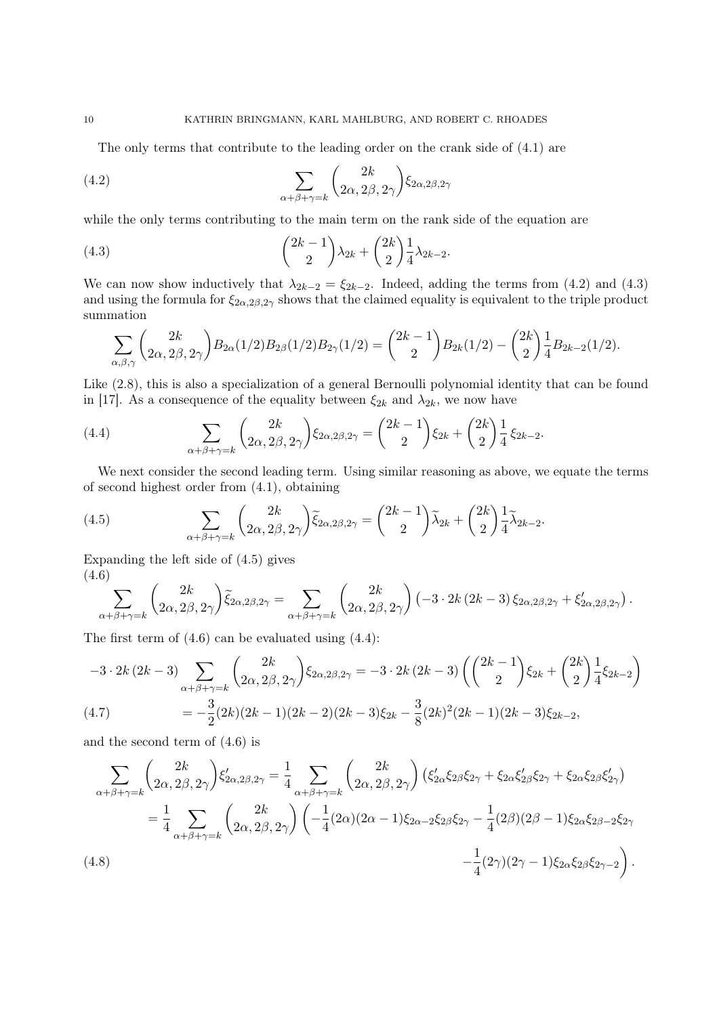The only terms that contribute to the leading order on the crank side of (4.1) are

(4.2) 
$$
\sum_{\alpha+\beta+\gamma=k} \binom{2k}{2\alpha, 2\beta, 2\gamma} \xi_{2\alpha,2\beta,2\gamma}
$$

while the only terms contributing to the main term on the rank side of the equation are

(4.3) 
$$
\binom{2k-1}{2} \lambda_{2k} + \binom{2k}{2} \frac{1}{4} \lambda_{2k-2}.
$$

We can now show inductively that  $\lambda_{2k-2} = \xi_{2k-2}$ . Indeed, adding the terms from (4.2) and (4.3) and using the formula for  $\xi_{2\alpha,2\beta,2\gamma}$  shows that the claimed equality is equivalent to the triple product summation

$$
\sum_{\alpha,\beta,\gamma} {2k \choose 2\alpha,2\beta,2\gamma} B_{2\alpha}(1/2) B_{2\beta}(1/2) B_{2\gamma}(1/2) = {2k-1 \choose 2} B_{2k}(1/2) - {2k \choose 2} \frac{1}{4} B_{2k-2}(1/2).
$$

Like (2.8), this is also a specialization of a general Bernoulli polynomial identity that can be found in [17]. As a consequence of the equality between  $\xi_{2k}$  and  $\lambda_{2k}$ , we now have

(4.4) 
$$
\sum_{\alpha+\beta+\gamma=k} \binom{2k}{2\alpha, 2\beta, 2\gamma} \xi_{2\alpha, 2\beta, 2\gamma} = \binom{2k-1}{2} \xi_{2k} + \binom{2k}{2} \frac{1}{4} \xi_{2k-2}.
$$

We next consider the second leading term. Using similar reasoning as above, we equate the terms of second highest order from (4.1), obtaining

(4.5) 
$$
\sum_{\alpha+\beta+\gamma=k} \binom{2k}{2\alpha, 2\beta, 2\gamma} \tilde{\xi}_{2\alpha, 2\beta, 2\gamma} = \binom{2k-1}{2} \tilde{\lambda}_{2k} + \binom{2k}{2} \frac{1}{4} \tilde{\lambda}_{2k-2}.
$$

Expanding the left side of (4.5) gives (4.6)

$$
\sum_{\alpha+\beta+\gamma=k} \binom{2k}{2\alpha, 2\beta, 2\gamma} \tilde{\xi}_{2\alpha,2\beta,2\gamma} = \sum_{\alpha+\beta+\gamma=k} \binom{2k}{2\alpha, 2\beta, 2\gamma} (-3 \cdot 2k (2k-3) \xi_{2\alpha,2\beta,2\gamma} + \xi'_{2\alpha,2\beta,2\gamma}).
$$

The first term of (4.6) can be evaluated using (4.4):

$$
-3 \cdot 2k (2k-3) \sum_{\alpha+\beta+\gamma=k} \binom{2k}{2\alpha, 2\beta, 2\gamma} \xi_{2\alpha, 2\beta, 2\gamma} = -3 \cdot 2k (2k-3) \left( \binom{2k-1}{2} \xi_{2k} + \binom{2k}{2} \frac{1}{4} \xi_{2k-2} \right)
$$
  
(4.7) 
$$
= -\frac{3}{2} (2k)(2k-1)(2k-2)(2k-3)\xi_{2k} - \frac{3}{8} (2k)^2 (2k-1)(2k-3)\xi_{2k-2},
$$

and the second term of (4.6) is

$$
\sum_{\alpha+\beta+\gamma=k} \binom{2k}{2\alpha, 2\beta, 2\gamma} \xi'_{2\alpha, 2\beta, 2\gamma} = \frac{1}{4} \sum_{\alpha+\beta+\gamma=k} \binom{2k}{2\alpha, 2\beta, 2\gamma} \left(\xi'_{2\alpha}\xi_{2\beta}\xi_{2\gamma} + \xi_{2\alpha}\xi'_{2\beta}\xi_{2\gamma} + \xi_{2\alpha}\xi_{2\beta}\xi'_{2\gamma}\right)
$$
  
\n
$$
= \frac{1}{4} \sum_{\alpha+\beta+\gamma=k} \binom{2k}{2\alpha, 2\beta, 2\gamma} \left(-\frac{1}{4}(2\alpha)(2\alpha-1)\xi_{2\alpha-2}\xi_{2\beta}\xi_{2\gamma} - \frac{1}{4}(2\beta)(2\beta-1)\xi_{2\alpha}\xi_{2\beta-2}\xi_{2\gamma}\right)
$$
  
\n(4.8)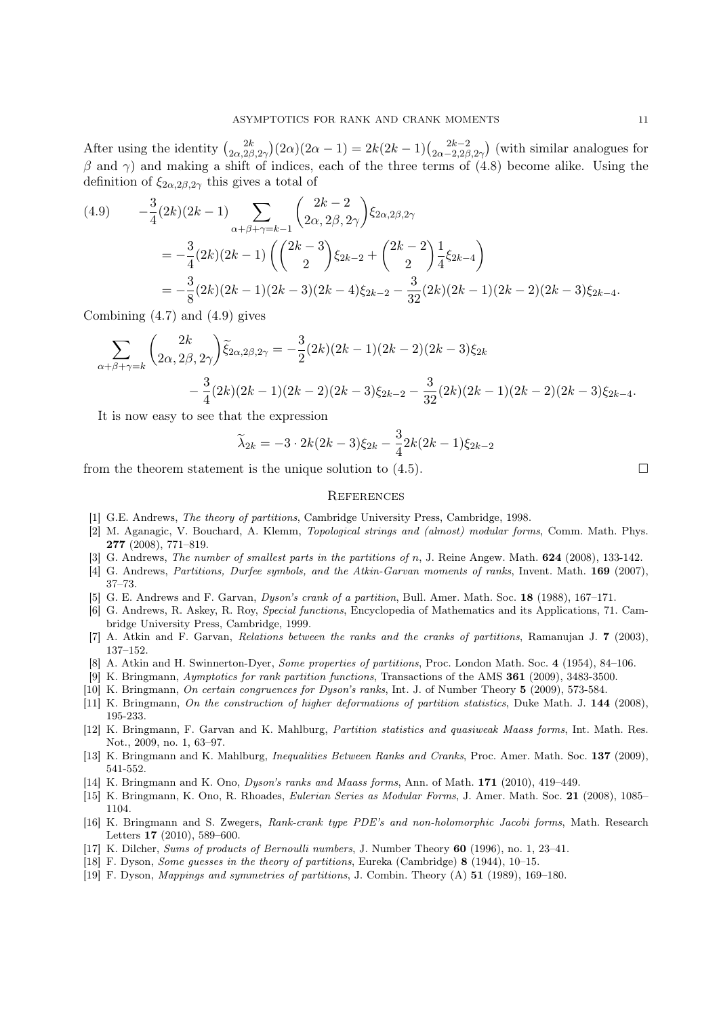After using the identity  $\binom{2k}{2}$  $\frac{2k}{2\alpha,2\beta,2\gamma}(2\alpha)(2\alpha-1)=2k(2k-1)\binom{2k-2}{2\alpha-2,2\beta}$  $\frac{2k-2}{2\alpha-2,2\beta,2\gamma}$  (with similar analogues for  $β$  and γ) and making a shift of indices, each of the three terms of (4.8) become alike. Using the definition of  $\xi_{2\alpha,2\beta,2\gamma}$  this gives a total of

$$
(4.9) \qquad -\frac{3}{4}(2k)(2k-1)\sum_{\alpha+\beta+\gamma=k-1} \binom{2k-2}{2\alpha,2\beta,2\gamma} \xi_{2\alpha,2\beta,2\gamma}
$$
  

$$
= -\frac{3}{4}(2k)(2k-1)\left(\binom{2k-3}{2}\xi_{2k-2} + \binom{2k-2}{2}\frac{1}{4}\xi_{2k-4}\right)
$$
  

$$
= -\frac{3}{8}(2k)(2k-1)(2k-3)(2k-4)\xi_{2k-2} - \frac{3}{32}(2k)(2k-1)(2k-2)(2k-3)\xi_{2k-4}.
$$

Combining  $(4.7)$  and  $(4.9)$  gives

$$
\sum_{\alpha+\beta+\gamma=k} \binom{2k}{2\alpha, 2\beta, 2\gamma} \tilde{\xi}_{2\alpha, 2\beta, 2\gamma} = -\frac{3}{2} (2k)(2k-1)(2k-2)(2k-3)\xi_{2k}
$$

$$
-\frac{3}{4} (2k)(2k-1)(2k-2)(2k-3)\xi_{2k-2} - \frac{3}{32} (2k)(2k-1)(2k-2)(2k-3)\xi_{2k-4}.
$$

It is now easy to see that the expression

$$
\widetilde{\lambda}_{2k} = -3 \cdot 2k(2k-3)\xi_{2k} - \frac{3}{4}2k(2k-1)\xi_{2k-2}
$$

from the theorem statement is the unique solution to  $(4.5)$ .

### **REFERENCES**

- [1] G.E. Andrews, The theory of partitions, Cambridge University Press, Cambridge, 1998.
- [2] M. Aganagic, V. Bouchard, A. Klemm, Topological strings and (almost) modular forms, Comm. Math. Phys. 277 (2008), 771–819.
- [3] G. Andrews, *The number of smallest parts in the partitions of n*, J. Reine Angew. Math. **624** (2008), 133-142.
- [4] G. Andrews, Partitions, Durfee symbols, and the Atkin-Garvan moments of ranks, Invent. Math. 169 (2007), 37–73.
- [5] G. E. Andrews and F. Garvan, Dyson's crank of a partition, Bull. Amer. Math. Soc. 18 (1988), 167–171.
- [6] G. Andrews, R. Askey, R. Roy, Special functions, Encyclopedia of Mathematics and its Applications, 71. Cambridge University Press, Cambridge, 1999.
- [7] A. Atkin and F. Garvan, Relations between the ranks and the cranks of partitions, Ramanujan J. 7 (2003), 137–152.
- [8] A. Atkin and H. Swinnerton-Dyer, Some properties of partitions, Proc. London Math. Soc. 4 (1954), 84–106.
- [9] K. Bringmann, Aymptotics for rank partition functions, Transactions of the AMS 361 (2009), 3483-3500.
- [10] K. Bringmann, On certain congruences for Dyson's ranks, Int. J. of Number Theory 5 (2009), 573-584.
- [11] K. Bringmann, On the construction of higher deformations of partition statistics, Duke Math. J. 144 (2008), 195-233.
- [12] K. Bringmann, F. Garvan and K. Mahlburg, Partition statistics and quasiweak Maass forms, Int. Math. Res. Not., 2009, no. 1, 63–97.
- [13] K. Bringmann and K. Mahlburg, *Inequalities Between Ranks and Cranks*, Proc. Amer. Math. Soc. 137 (2009), 541-552.
- [14] K. Bringmann and K. Ono, Dyson's ranks and Maass forms, Ann. of Math. 171 (2010), 419–449.
- [15] K. Bringmann, K. Ono, R. Rhoades, Eulerian Series as Modular Forms, J. Amer. Math. Soc. 21 (2008), 1085– 1104.
- [16] K. Bringmann and S. Zwegers, Rank-crank type PDE's and non-holomorphic Jacobi forms, Math. Research Letters 17 (2010), 589–600.
- [17] K. Dilcher, Sums of products of Bernoulli numbers, J. Number Theory 60 (1996), no. 1, 23–41.
- [18] F. Dyson, Some guesses in the theory of partitions, Eureka (Cambridge) 8 (1944), 10–15.
- [19] F. Dyson, Mappings and symmetries of partitions, J. Combin. Theory (A) 51 (1989), 169–180.